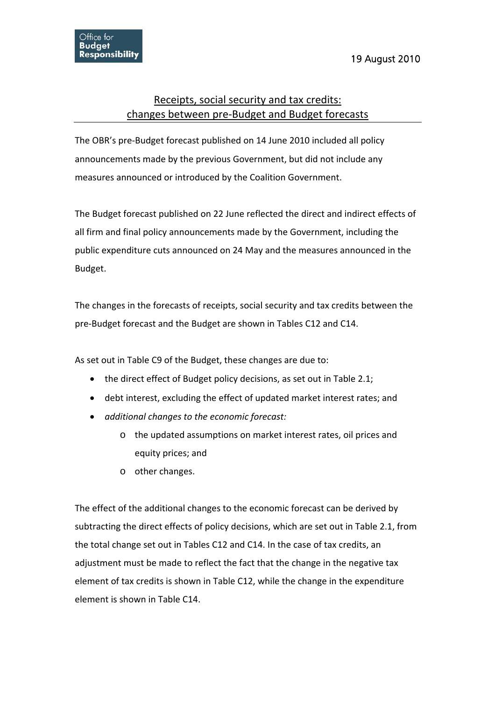## Receipts, social security and tax credits: changes between pre‐Budget and Budget forecasts

The OBR's pre‐Budget forecast published on 14 June 2010 included all policy announcements made by the previous Government, but did not include any measures announced or introduced by the Coalition Government.

The Budget forecast published on 22 June reflected the direct and indirect effects of all firm and final policy announcements made by the Government, including the public expenditure cuts announced on 24 May and the measures announced in the Budget.

The changes in the forecasts of receipts, social security and tax credits between the pre‐Budget forecast and the Budget are shown in Tables C12 and C14.

As set out in Table C9 of the Budget, these changes are due to:

- the direct effect of Budget policy decisions, as set out in Table 2.1;
- debt interest, excluding the effect of updated market interest rates; and
- *additional changes to the economic forecast:*
	- o the updated assumptions on market interest rates, oil prices and equity prices; and
	- o other changes.

The effect of the additional changes to the economic forecast can be derived by subtracting the direct effects of policy decisions, which are set out in Table 2.1, from the total change set out in Tables C12 and C14. In the case of tax credits, an adjustment must be made to reflect the fact that the change in the negative tax element of tax credits is shown in Table C12, while the change in the expenditure element is shown in Table C14.